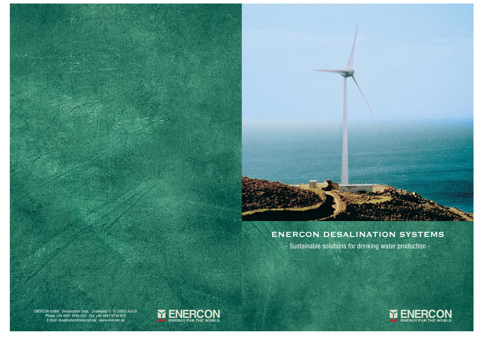

# **ENERCON DESALINATION SYSTEMS**

- Sustainable solutions for drinking water production -

ENERCON GmbH · Desalination Dept. · Dreekamp 5 · D-26605 Aurich Phone +49 4941 9794 620 · Fax +49 4941 9794 629 E-mail: desalination@enercon.de · www.enercon.de



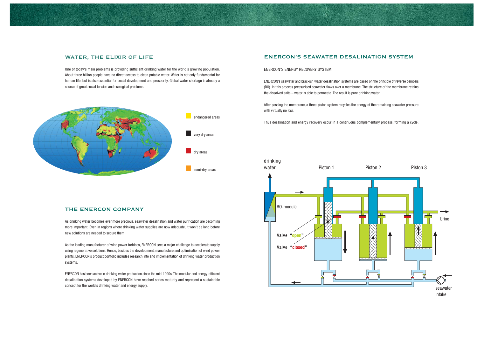

### **WATER, THE ELIXIR OF LIFE**

One of today's main problems is providing sufficient drinking water for the world's growing population. About three billion people have no direct access to clean potable water. Water is not only fundamental for human life, but is also essential for social development and prosperity. Global water shortage is already a source of great social tension and ecological problems.

#### **THE ENERCON COMPANY**

As drinking water becomes ever more precious, seawater desalination and water purification are becoming more important. Even in regions where drinking water supplies are now adequate, it won't be long before new solutions are needed to secure them.

As the leading manufacturer of wind power turbines, ENERCON sees a major challenge to accelerate supply using regenerative solutions. Hence, besides the development, manufacture and optimisation of wind power plants, ENERCON's product portfolio includes research into and implementation of drinking water production systems.

ENERCON has been active in drinking water production since the mid-1990s. The modular and energy-efficient desalination systems developed by ENERCON have reached series maturity and represent a sustainable concept for the world's drinking water and energy supply.

## **ENERCON'S SEAWATER DESALINATION SYSTEM**

#### ENERCON'S ENERGY RECOVERY SYSTEM

ENERCON's seawater and brackish water desalination systems are based on the principle of reverse osmosis (RO). In this process pressurised seawater flows over a membrane. The structure of the membrane retains the dissolved salts – water is able to permeate. The result is pure drinking water.

After passing the membrane, a three-piston system recycles the energy of the remaining seawater pressure with virtually no loss.

Thus desalination and energy recovery occur in a continuous complementary process, forming a cycle.



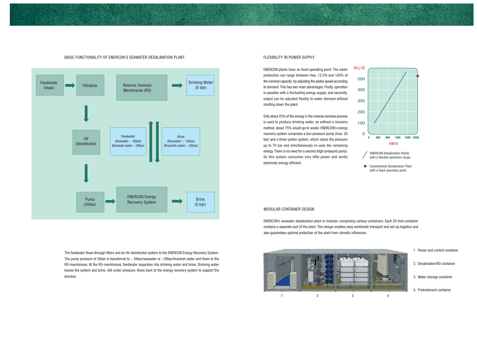#### MODULAR CONTAINER DESIGN

ENERCON's seawater desalination plant is modular, comprising various containers. Each 20-foot container contains a separate part of the plant. This design enables easy worldwide transport and set-up logistics and also guarantees optimal protection of the plant from climatic influences.

BASIC FUNCTIONALITY OF ENERCON'S SEAWATER DESALINATION PLANT

- - 1. Power and control container
	- 2. Desalination/RO container
	- 3. Water storage container
	- 4. Pretreatment container

ENERCON plants have no fixed operating point. The water production can range between max. 12.5% and 100% of the nominal capacity by adjusting the piston speed according to demand. This has two main advantages: Firstly, operation is possible with a fluctuating energy supply, and secondly, output can be adjusted flexibly to water demand without shutting down the plant.  $m \geq / d$ 



The feedwater flows through filters and an UV-disinfection system to the ENERCON Energy Recovery System. The pump pressure of 20bar is transferred to  $\sim$  56bar/seawater or  $\sim$  28bar/brackish water and flows to the RO-membranes. At the RO-membranes, feedwater separates into drinking water and brine. Drinking water leaves the system and brine, still under pressure, flows back to the energy recovery system to support the process.

#### FLEXIBILITY IN POWER SUPPLY

Only about 25% of the energy in the reverse osmosis process is used to produce drinking water, so without a recovery method, about 75% would go to waste. ENERCON's energy recovery system comprises a low-pressure pump (max. 20 bar) and a three-piston system, which raises the pressure up to 70 bar and simultaneously re-uses the remaining energy. There is no need for a second (high-pressure) pump. So this system consumes very little power and works extremely energy efficient.



500

400

300

200

100

0

- ENERCON Desalination Plants with a flexible operation range
- **Conventional Desalination Plant** with a fixed operation point